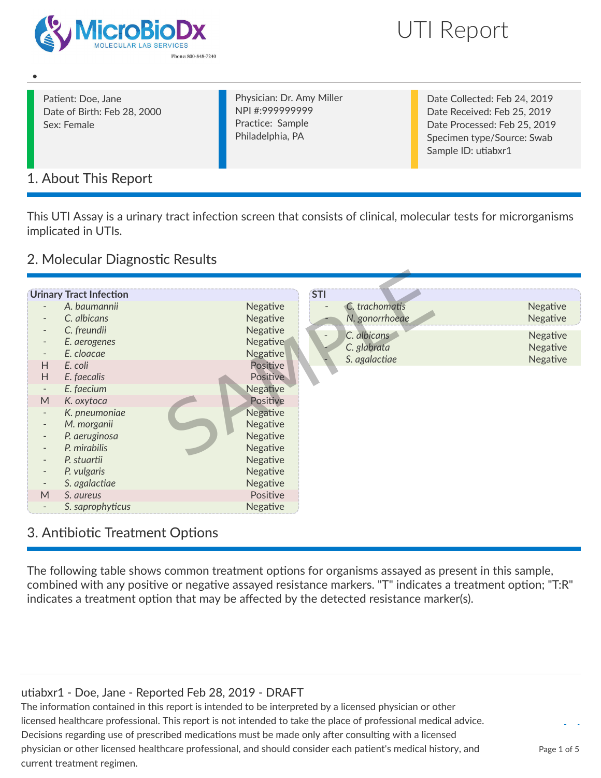



Patient: Doe, Jane Date of Birth: Feb 28, 2000 Sex: Female

•

Physician: Dr. Amy Miller NPI #:999999999 Practice: Sample Philadelphia, PA

Date Collected: Feb 24, 2019 Date Received: Feb 25, 2019 Date Processed: Feb 25, 2019 Specimen type/Source: Swab Sample ID: utiabxr1

## 1. About This Report

This UTI Assay is a urinary tract infection screen that consists of clinical, molecular tests for microrganisms implicated in UTIs.

## 2. Molecular Diagnostic Results

|                               | <b>Urinary Tract Infection</b> |                             | <b>STI</b>                   |
|-------------------------------|--------------------------------|-----------------------------|------------------------------|
|                               | A. baumannii                   | Negative                    |                              |
|                               | C. albicans                    | Negative                    |                              |
|                               | C. freundii                    | Negative                    | $\overline{\phantom{a}}$     |
| $\overline{\phantom{a}}$      | E. aerogenes                   | Negative                    |                              |
| $\overline{\phantom{a}}$<br>H | E. cloacae<br>E. coli          | Negative<br>Positive        | C. glabrata<br>S. agalactiae |
| H                             | E. faecalis                    | <b>Positive</b>             |                              |
| $\overline{\phantom{a}}$      | E. faecium                     | Negative                    |                              |
| M                             | K. oxytoca                     | Positive                    |                              |
| $\overline{\phantom{a}}$      | K. pneumoniae                  | Negative                    |                              |
|                               | M. morganii                    | Negative                    |                              |
| $\overline{\phantom{a}}$      | P. aeruginosa                  | Negative                    |                              |
|                               | P. mirabilis                   | Negative                    |                              |
| $\overline{\phantom{a}}$      | P. stuartii                    | Negative                    |                              |
|                               | P. vulgaris<br>S. agalactiae   | <b>Negative</b><br>Negative |                              |
| M                             | S. aureus                      | Positive                    |                              |
| -                             | S. saprophyticus               | Negative                    |                              |

## 3. Antibiotic Treatment Options

The following table shows common treatment options for organisms assayed as present in this sample, combined with any positive or negative assayed resistance markers. "T" indicates a treatment option; "T:R" indicates a treatment option that may be affected by the detected resistance marker(s).

### utiabxr1 - Doe, Jane - Reported Feb 28, 2019 - DRAFT

The information contained in this report is intended to be interpreted by a licensed physician or other licensed healthcare professional. This report is not intended to take the place of professional medical advice. Decisions regarding use of prescribed medications must be made only after consulting with a licensed physician or other licensed healthcare professional, and should consider each patient's medical history, and current treatment regimen.

Page 1 of 5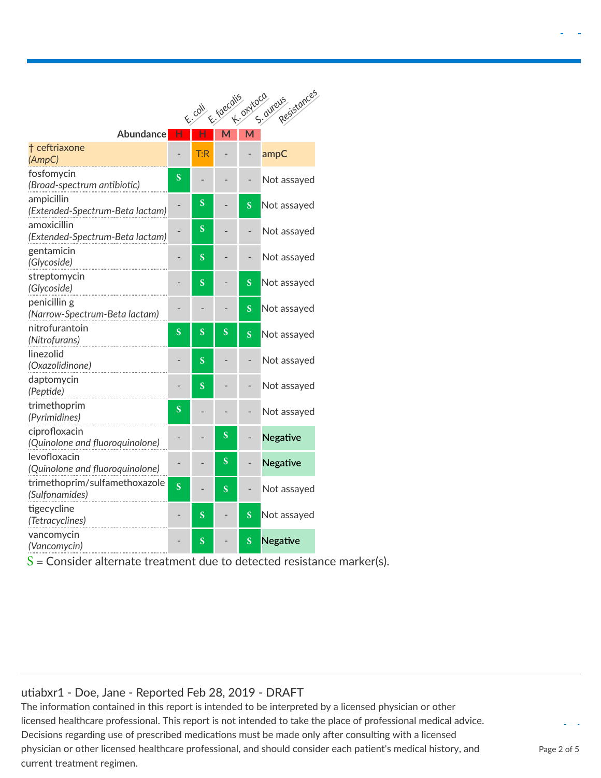|                                                  |                         |                         |   |   | Resistances<br>E coll E foecalis avroco avreus |
|--------------------------------------------------|-------------------------|-------------------------|---|---|------------------------------------------------|
| <b>Abundance</b>                                 | н                       |                         | M | M |                                                |
| † ceftriaxone<br>(AmpC)                          |                         | T:R                     |   |   | ampC                                           |
| fosfomycin<br>(Broad-spectrum antibiotic)        | S                       |                         |   |   | Not assayed                                    |
| ampicillin<br>(Extended-Spectrum-Beta lactam)    |                         | S                       |   | S | Not assayed                                    |
| amoxicillin<br>(Extended-Spectrum-Beta lactam)   |                         | S                       |   |   | Not assayed                                    |
| gentamicin<br>(Glycoside)                        | -                       | $\overline{\mathbf{S}}$ |   |   | Not assayed                                    |
| streptomycin<br>(Glycoside)                      |                         | S                       |   | S | Not assayed                                    |
| penicillin g<br>(Narrow-Spectrum-Beta lactam)    |                         |                         |   | S | Not assayed                                    |
| nitrofurantoin<br>(Nitrofurans)                  | S                       | S                       | S | S | Not assayed                                    |
| linezolid<br>(Oxazolidinone)                     | -                       | S                       |   |   | Not assayed                                    |
| daptomycin<br>(Peptide)                          |                         | $\overline{\mathbf{S}}$ |   |   | Not assayed                                    |
| trimethoprim<br>(Pyrimidines)                    | $\overline{\mathbf{S}}$ |                         |   |   | Not assayed                                    |
| ciprofloxacin<br>(Quinolone and fluoroquinolone) |                         |                         | S |   | <b>Negative</b>                                |
| levofloxacin<br>(Quinolone and fluoroquinolone)  |                         |                         | S |   | <b>Negative</b>                                |
| trimethoprim/sulfamethoxazole<br>(Sulfonamides)  | $\overline{\mathbf{S}}$ |                         | S |   | Not assayed                                    |
| tigecycline<br>(Tetracyclines)                   |                         | $\overline{\mathbf{S}}$ |   | S | Not assayed                                    |
| vancomycin<br>(Vancomycin)                       |                         | S                       |   | S | Negative                                       |

 $S =$  Consider alternate treatment due to detected resistance marker(s).

#### utiabxr1 - Doe, Jane - Reported Feb 28, 2019 - DRAFT

The information contained in this report is intended to be interpreted by a licensed physician or other licensed healthcare professional. This report is not intended to take the place of professional medical advice. Decisions regarding use of prescribed medications must be made only after consulting with a licensed physician or other licensed healthcare professional, and should consider each patient's medical history, and current treatment regimen.

Page 2 of 5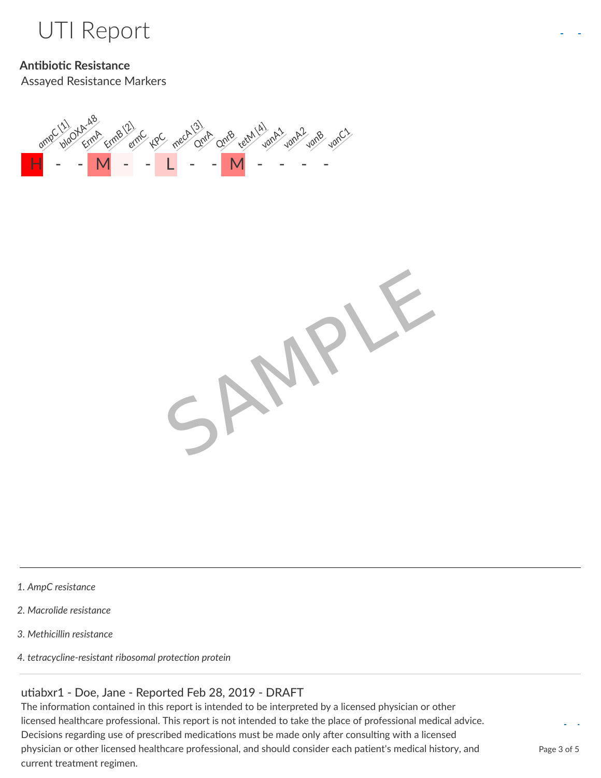

## **Antibiotic Resistance**

Assayed Resistance Markers





- *1. AmpC resistance*
- *2. Macrolide resistance*
- *3. Methicillin resistance*
- *4. tetracycline-resistant ribosomal protection protein*

#### utiabxr1 - Doe, Jane - Reported Feb 28, 2019 - DRAFT

The information contained in this report is intended to be interpreted by a licensed physician or other licensed healthcare professional. This report is not intended to take the place of professional medical advice. Decisions regarding use of prescribed medications must be made only after consulting with a licensed physician or other licensed healthcare professional, and should consider each patient's medical history, and current treatment regimen.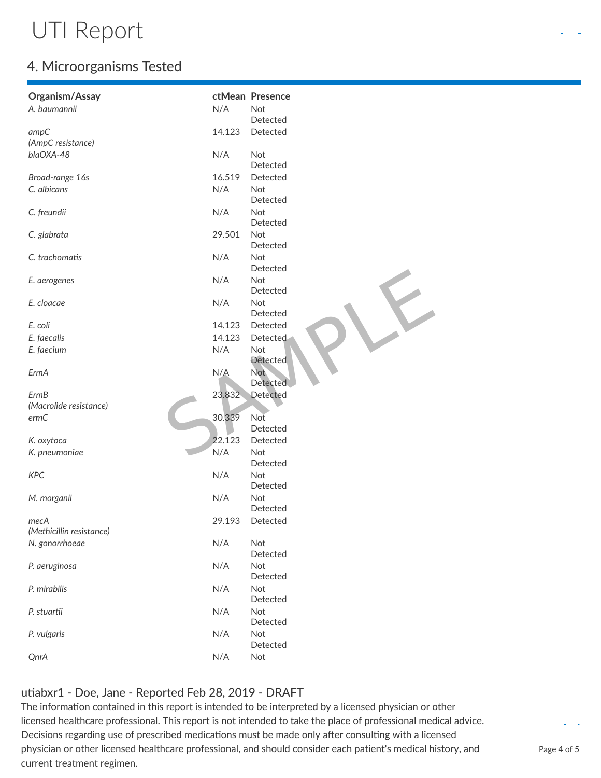# UTI Report

## 4. Microorganisms Tested

| Organism/Assay           |        | ctMean Presence        |
|--------------------------|--------|------------------------|
| A. baumannii             | N/A    | Not                    |
|                          |        | Detected               |
| ampC                     | 14.123 | Detected               |
| (AmpC resistance)        |        |                        |
| blaOXA-48                | N/A    | Not                    |
|                          |        | Detected               |
| Broad-range 16s          | 16.519 | Detected               |
| C. albicans              | N/A    | Not<br>Detected        |
| C. freundii              | N/A    | Not<br>Detected        |
| C. glabrata              | 29.501 | Not<br>Detected        |
| C. trachomatis           | N/A    | Not<br>Detected        |
| E. aerogenes             | N/A    | Not<br>Detected        |
| E. cloacae               | N/A    | Not                    |
|                          |        | Detected               |
| E. coli                  | 14.123 | Detected               |
| E. faecalis              | 14.123 | Detected               |
| E. faecium               | N/A    | Not<br>Detected        |
| ErmA                     | N/A    | <b>Not</b><br>Detected |
| <b>ErmB</b>              | 23.832 | Detected               |
| (Macrolide resistance)   |        |                        |
| ermC                     | 30.339 | Not                    |
|                          |        | Detected               |
| K. oxytoca               | 22.123 | Detected               |
| K. pneumoniae            | N/A    | Not                    |
|                          |        | Detected               |
| <b>KPC</b>               | N/A    | Not                    |
|                          |        | Detected               |
| M. morganii              | N/A    | Not                    |
|                          |        | Detected               |
| mecA                     | 29.193 | Detected               |
| (Methicillin resistance) |        |                        |
| N. gonorrhoeae           | N/A    | Not                    |
|                          |        | Detected               |
| P. aeruginosa            | N/A    | Not                    |
|                          |        | Detected               |
| P. mirabilis             | N/A    | Not                    |
|                          |        | Detected               |
| P. stuartii              | N/A    | Not                    |
|                          |        | Detected               |
| P. vulgaris              | N/A    | Not<br>Detected        |
| QnrA                     | N/A    | Not                    |
|                          |        |                        |

### utiabxr1 - Doe, Jane - Reported Feb 28, 2019 - DRAFT

The information contained in this report is intended to be interpreted by a licensed physician or other licensed healthcare professional. This report is not intended to take the place of professional medical advice. Decisions regarding use of prescribed medications must be made only after consulting with a licensed physician or other licensed healthcare professional, and should consider each patient's medical history, and current treatment regimen.